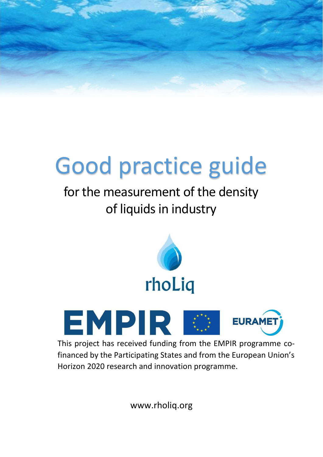# Good practice guide

# for the measurement of the density of liquids in industry





This project has received funding from the EMPIR programme cofinanced by the Participating States and from the European Union's Horizon 2020 research and innovation programme.

www.rholiq.org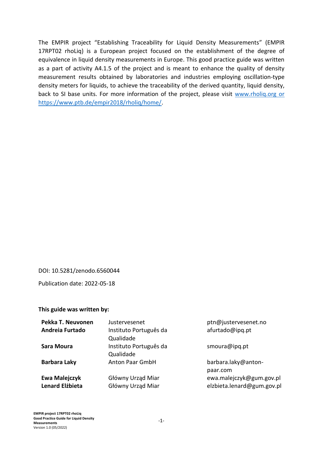The EMPIR project "Establishing Traceability for Liquid Density Measurements" (EMPIR 17RPT02 rhoLiq) is a European project focused on the establishment of the degree of equivalence in liquid density measurements in Europe. This good practice guide was written as a part of activity A4.1.5 of the project and is meant to enhance the quality of density measurement results obtained by laboratories and industries employing oscillation-type density meters for liquids, to achieve the traceability of the derived quantity, liquid density, back to SI base units. For more information of the project, please visit [www.rholiq.org](http://www.rholiq.org/) or https://www.ptb.de/empir2018/rholiq/home/.

#### DOI: 10.5281/zenodo.6560044

Publication date: 2022-05-18

#### **This guide was written by:**

| Pekka T. Neuvonen                       | Justervesenet                          | ptn@justervesenet.no                                   |
|-----------------------------------------|----------------------------------------|--------------------------------------------------------|
| Andreia Furtado                         | Instituto Português da<br>Qualidade    | afurtado@ipq.pt                                        |
| Sara Moura                              | Instituto Português da<br>Qualidade    | smoura@ipq.pt                                          |
| <b>Barbara Laky</b>                     | <b>Anton Paar GmbH</b>                 | barbara.laky@anton-<br>paar.com                        |
| Ewa Malejczyk<br><b>Lenard Elżbieta</b> | Główny Urząd Miar<br>Główny Urząd Miar | ewa.malejczyk@gum.gov.pl<br>elzbieta.lenard@gum.gov.pl |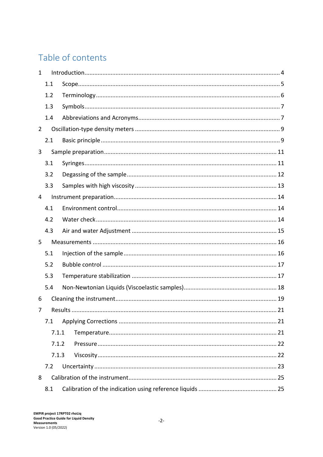# Table of contents

| $\mathbf{1}$   |       |         |    |  |
|----------------|-------|---------|----|--|
|                | 1.1   |         |    |  |
|                | 1.2   |         |    |  |
|                | 1.3   |         |    |  |
|                | 1.4   |         |    |  |
| $\overline{2}$ |       |         |    |  |
|                | 2.1   |         |    |  |
| 3              |       |         |    |  |
|                | 3.1   |         |    |  |
|                | 3.2   |         |    |  |
|                | 3.3   |         |    |  |
| 4              |       |         |    |  |
|                | 4.1   |         |    |  |
|                | 4.2   |         |    |  |
|                | 4.3   |         |    |  |
| 5              |       |         |    |  |
|                | 5.1   |         |    |  |
|                | 5.2   |         |    |  |
|                | 5.3   |         |    |  |
|                | 5.4   |         |    |  |
| 6              |       |         |    |  |
| 7              |       | Results | 21 |  |
|                | 7.1   |         |    |  |
|                | 7.1.1 |         |    |  |
|                | 7.1.2 |         |    |  |
|                | 7.1.3 |         |    |  |
|                | 7.2   |         |    |  |
| 8              |       |         |    |  |
|                | 8.1   |         |    |  |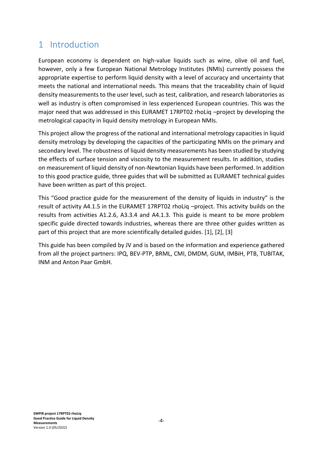# <span id="page-4-0"></span>1 Introduction

European economy is dependent on high-value liquids such as wine, olive oil and fuel, however, only a few European National Metrology Institutes (NMIs) currently possess the appropriate expertise to perform liquid density with a level of accuracy and uncertainty that meets the national and international needs. This means that the traceability chain of liquid density measurements to the user level, such as test, calibration, and research laboratories as well as industry is often compromised in less experienced European countries. This was the major need that was addressed in this EURAMET 17RPT02 rhoLiq –project by developing the metrological capacity in liquid density metrology in European NMIs.

This project allow the progress of the national and international metrology capacities in liquid density metrology by developing the capacities of the participating NMIs on the primary and secondary level. The robustness of liquid density measurements has been studied by studying the effects of surface tension and viscosity to the measurement results. In addition, studies on measurement of liquid density of non-Newtonian liquids have been performed. In addition to this good practice guide, three guides that will be submitted as EURAMET technical guides have been written as part of this project.

This "Good practice guide for the measurement of the density of liquids in industry" is the result of activity A4.1.5 in the EURAMET 17RPT02 rhoLiq –project. This activity builds on the results from activities A1.2.6, A3.3.4 and A4.1.3. This guide is meant to be more problem specific guide directed towards industries, whereas there are three other guides written as part of this project that are more scientifically detailed guides. [1], [2], [3]

This guide has been compiled by JV and is based on the information and experience gathered from all the project partners: IPQ, BEV-PTP, BRML, CMI, DMDM, GUM, IMBiH, PTB, TUBITAK, INM and Anton Paar GmbH.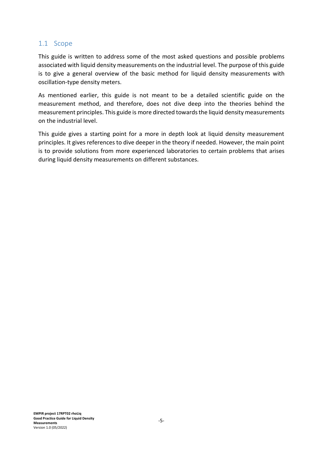#### <span id="page-5-0"></span>1.1 Scope

This guide is written to address some of the most asked questions and possible problems associated with liquid density measurements on the industrial level. The purpose of this guide is to give a general overview of the basic method for liquid density measurements with oscillation-type density meters.

As mentioned earlier, this guide is not meant to be a detailed scientific guide on the measurement method, and therefore, does not dive deep into the theories behind the measurement principles. This guide is more directed towards the liquid density measurements on the industrial level.

This guide gives a starting point for a more in depth look at liquid density measurement principles. It gives references to dive deeper in the theory if needed. However, the main point is to provide solutions from more experienced laboratories to certain problems that arises during liquid density measurements on different substances.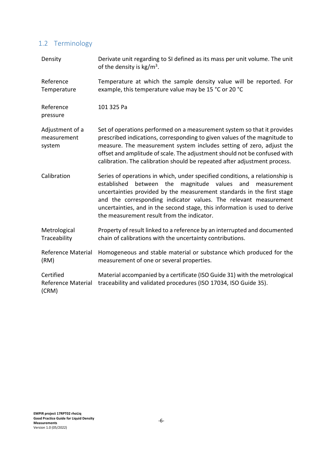# <span id="page-6-0"></span>1.2 Terminology

| Density                                  | Derivate unit regarding to SI defined as its mass per unit volume. The unit<br>of the density is $kg/m3$ .                                                                                                                                                                                                                                                                                                                        |  |
|------------------------------------------|-----------------------------------------------------------------------------------------------------------------------------------------------------------------------------------------------------------------------------------------------------------------------------------------------------------------------------------------------------------------------------------------------------------------------------------|--|
| Reference<br>Temperature                 | Temperature at which the sample density value will be reported. For<br>example, this temperature value may be 15 °C or 20 °C                                                                                                                                                                                                                                                                                                      |  |
| Reference<br>pressure                    | 101 325 Pa                                                                                                                                                                                                                                                                                                                                                                                                                        |  |
| Adjustment of a<br>measurement<br>system | Set of operations performed on a measurement system so that it provides<br>prescribed indications, corresponding to given values of the magnitude to<br>measure. The measurement system includes setting of zero, adjust the<br>offset and amplitude of scale. The adjustment should not be confused with<br>calibration. The calibration should be repeated after adjustment process.                                            |  |
| Calibration                              | Series of operations in which, under specified conditions, a relationship is<br>established<br>the<br>magnitude values<br>and<br>between<br>measurement<br>uncertainties provided by the measurement standards in the first stage<br>and the corresponding indicator values. The relevant measurement<br>uncertainties, and in the second stage, this information is used to derive<br>the measurement result from the indicator. |  |
| Metrological<br>Traceability             | Property of result linked to a reference by an interrupted and documented<br>chain of calibrations with the uncertainty contributions.                                                                                                                                                                                                                                                                                            |  |
| <b>Reference Material</b><br>(RM)        | Homogeneous and stable material or substance which produced for the<br>measurement of one or several properties.                                                                                                                                                                                                                                                                                                                  |  |
| Certified<br>Reference Material<br>(CRM) | Material accompanied by a certificate (ISO Guide 31) with the metrological<br>traceability and validated procedures (ISO 17034, ISO Guide 35).                                                                                                                                                                                                                                                                                    |  |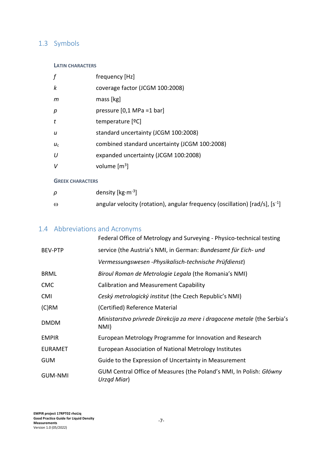## <span id="page-7-0"></span>1.3 Symbols

#### **LATIN CHARACTERS**

| f                       | frequency [Hz]                                |
|-------------------------|-----------------------------------------------|
| k                       | coverage factor (JCGM 100:2008)               |
| m                       | mass [kg]                                     |
| p                       | pressure $[0,1 \text{ MPa} = 1 \text{ bar}]$  |
| t                       | temperature [ <sup>o</sup> C]                 |
| u                       | standard uncertainty (JCGM 100:2008)          |
| $U_{\rm C}$             | combined standard uncertainty (JCGM 100:2008) |
| U                       | expanded uncertainty (JCGM 100:2008)          |
| V                       | volume $\text{[m}^3\text{]}$                  |
| <b>GREEK CHARACTERS</b> |                                               |
| ρ                       | density [ $kg·m-3$ ]                          |

 $\omega$  angular velocity (rotation), angular frequency (oscillation) [rad/s], [s<sup>-1</sup>]

#### <span id="page-7-1"></span>1.4 Abbreviations and Acronyms

|                | Federal Office of Metrology and Surveying - Physico-technical testing              |
|----------------|------------------------------------------------------------------------------------|
| <b>BEV-PTP</b> | service (the Austria's NMI, in German: Bundesamt für Eich- und                     |
|                | Vermessungswesen - Physikalisch-technische Prüfdienst)                             |
| <b>BRML</b>    | Biroul Roman de Metrologie Legala (the Romania's NMI)                              |
| <b>CMC</b>     | <b>Calibration and Measurement Capability</b>                                      |
| <b>CMI</b>     | Ceský metrologický institut (the Czech Republic's NMI)                             |
| $(C)$ RM       | (Certified) Reference Material                                                     |
| <b>DMDM</b>    | Ministarstvo privrede Direkcija za mere i dragocene metale (the Serbia's<br>NMI)   |
| <b>EMPIR</b>   | European Metrology Programme for Innovation and Research                           |
| <b>EURAMET</b> | European Association of National Metrology Institutes                              |
| <b>GUM</b>     | Guide to the Expression of Uncertainty in Measurement                              |
| <b>GUM-NMI</b> | GUM Central Office of Measures (the Poland's NMI, In Polish: Główny<br>Urząd Miar) |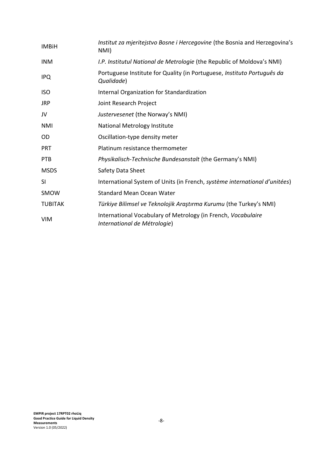| <b>IMBiH</b>   | Institut za mjeritejstvo Bosne i Hercegovine (the Bosnia and Herzegovina's<br>NMI)            |
|----------------|-----------------------------------------------------------------------------------------------|
| <b>INM</b>     | I.P. Institutul National de Metrologie (the Republic of Moldova's NMI)                        |
| <b>IPQ</b>     | Portuguese Institute for Quality (in Portuguese, Instituto Português da<br>Qualidade)         |
| ISO            | Internal Organization for Standardization                                                     |
| JRP            | Joint Research Project                                                                        |
| JV             | Justervesenet (the Norway's NMI)                                                              |
| NMI            | <b>National Metrology Institute</b>                                                           |
| OD             | Oscillation-type density meter                                                                |
| <b>PRT</b>     | Platinum resistance thermometer                                                               |
| <b>PTB</b>     | Physikalisch-Technische Bundesanstalt (the Germany's NMI)                                     |
| <b>MSDS</b>    | Safety Data Sheet                                                                             |
| SI             | International System of Units (in French, système international d'unitées)                    |
| SMOW           | <b>Standard Mean Ocean Water</b>                                                              |
| <b>TUBITAK</b> | Türkiye Bilimsel ve Teknolojik Araştırma Kurumu (the Turkey's NMI)                            |
| <b>VIM</b>     | International Vocabulary of Metrology (in French, Vocabulaire<br>International de Métrologie) |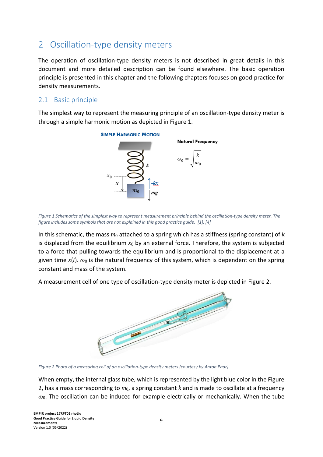# <span id="page-9-0"></span>2 Oscillation-type density meters

The operation of oscillation-type density meters is not described in great details in this document and more detailed description can be found elsewhere. The basic operation principle is presented in this chapter and the following chapters focuses on good practice for density measurements.

#### <span id="page-9-1"></span>2.1 Basic principle

The simplest way to represent the measuring principle of an oscillation-type density meter is through a simple harmonic motion as depicted in Figure 1.



*Figure 1 Schematics of the simplest way to represent measurement principle behind the oscillation-type density meter. The figure includes some symbols that are not explained in this good practice guide. [1], [4]*

In this schematic, the mass *m*<sup>0</sup> attached to a spring which has a stiffness (spring constant) of *k* is displaced from the equilibrium  $x_0$  by an external force. Therefore, the system is subjected to a force that pulling towards the equilibrium and is proportional to the displacement at a given time *x*(*t*). *ω*<sup>0</sup> is the natural frequency of this system, which is dependent on the spring constant and mass of the system.

A measurement cell of one type of oscillation-type density meter is depicted in Figure 2.



*Figure 2 Photo of a measuring cell of an oscillation-type density meters (courtesy by Anton Paar)*

When empty, the internal glass tube, which is represented by the light blue color in the Figure 2, has a mass corresponding to *m*0, a spring constant *k* and is made to oscillate at a frequency *ω*0. The oscillation can be induced for example electrically or mechanically. When the tube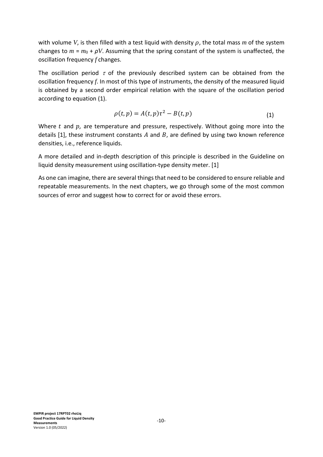with volume *V*, is then filled with a test liquid with density  $\rho$ , the total mass m of the system changes to  $m = m_0 + \rho V$ . Assuming that the spring constant of the system is unaffected, the oscillation frequency *f* changes.

The oscillation period  $\tau$  of the previously described system can be obtained from the oscillation frequency *f*. In most of this type of instruments, the density of the measured liquid is obtained by a second order empirical relation with the square of the oscillation period according to equation (1).

$$
\rho(t,p) = A(t,p)\tau^2 - B(t,p) \tag{1}
$$

Where  $t$  and  $p$ , are temperature and pressure, respectively. Without going more into the details [1], these instrument constants  $A$  and  $B$ , are defined by using two known reference densities, i.e., reference liquids.

A more detailed and in-depth description of this principle is described in the Guideline on liquid density measurement using oscillation-type density meter. [1]

As one can imagine, there are several things that need to be considered to ensure reliable and repeatable measurements. In the next chapters, we go through some of the most common sources of error and suggest how to correct for or avoid these errors.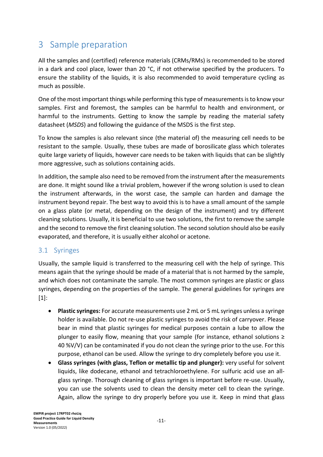# <span id="page-11-0"></span>3 Sample preparation

All the samples and (certified) reference materials (CRMs/RMs) is recommended to be stored in a dark and cool place, lower than 20 °C, if not otherwise specified by the producers. To ensure the stability of the liquids, it is also recommended to avoid temperature cycling as much as possible.

One of the most important things while performing this type of measurements is to know your samples. First and foremost, the samples can be harmful to health and environment, or harmful to the instruments. Getting to know the sample by reading the material safety datasheet (*MSDS*) and following the guidance of the MSDS is the first step.

To know the samples is also relevant since (the material of) the measuring cell needs to be resistant to the sample. Usually, these tubes are made of borosilicate glass which tolerates quite large variety of liquids, however care needs to be taken with liquids that can be slightly more aggressive, such as solutions containing acids.

In addition, the sample also need to be removed from the instrument after the measurements are done. It might sound like a trivial problem, however if the wrong solution is used to clean the instrument afterwards, in the worst case, the sample can harden and damage the instrument beyond repair. The best way to avoid this is to have a small amount of the sample on a glass plate (or metal, depending on the design of the instrument) and try different cleaning solutions. Usually, it is beneficial to use two solutions, the first to remove the sample and the second to remove the first cleaning solution. The second solution should also be easily evaporated, and therefore, it is usually either alcohol or acetone.

#### <span id="page-11-1"></span>3.1 Syringes

Usually, the sample liquid is transferred to the measuring cell with the help of syringe. This means again that the syringe should be made of a material that is not harmed by the sample, and which does not contaminate the sample. The most common syringes are plastic or glass syringes, depending on the properties of the sample. The general guidelines for syringes are [1]:

- **Plastic syringes:** For accurate measurements use 2 mL or 5 mL syringes unless a syringe holder is available. Do not re-use plastic syringes to avoid the risk of carryover. Please bear in mind that plastic syringes for medical purposes contain a lube to allow the plunger to easily flow, meaning that your sample (for instance, ethanol solutions ≥ 40 %V/V) can be contaminated if you do not clean the syringe prior to the use. For this purpose, ethanol can be used. Allow the syringe to dry completely before you use it.
- **Glass syringes (with glass, Teflon or metallic tip and plunger):** very useful for solvent liquids, like dodecane, ethanol and tetrachloroethylene. For sulfuric acid use an allglass syringe. Thorough cleaning of glass syringes is important before re-use. Usually, you can use the solvents used to clean the density meter cell to clean the syringe. Again, allow the syringe to dry properly before you use it. Keep in mind that glass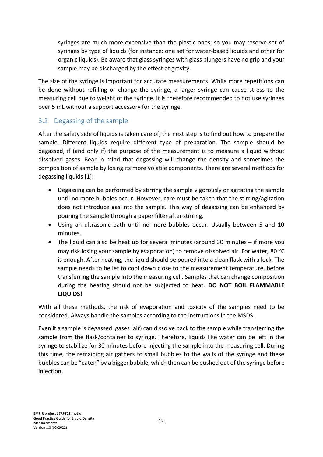syringes are much more expensive than the plastic ones, so you may reserve set of syringes by type of liquids (for instance: one set for water-based liquids and other for organic liquids). Be aware that glass syringes with glass plungers have no grip and your sample may be discharged by the effect of gravity.

The size of the syringe is important for accurate measurements. While more repetitions can be done without refilling or change the syringe, a larger syringe can cause stress to the measuring cell due to weight of the syringe. It is therefore recommended to not use syringes over 5 mL without a support accessory for the syringe.

#### <span id="page-12-0"></span>3.2 Degassing of the sample

After the safety side of liquids is taken care of, the next step is to find out how to prepare the sample. Different liquids require different type of preparation. The sample should be degassed, if (and only if) the purpose of the measurement is to measure a liquid without dissolved gases. Bear in mind that degassing will change the density and sometimes the composition of sample by losing its more volatile components. There are several methods for degassing liquids [1]:

- Degassing can be performed by stirring the sample vigorously or agitating the sample until no more bubbles occur. However, care must be taken that the stirring/agitation does not introduce gas into the sample. This way of degassing can be enhanced by pouring the sample through a paper filter after stirring.
- Using an ultrasonic bath until no more bubbles occur. Usually between 5 and 10 minutes.
- The liquid can also be heat up for several minutes (around 30 minutes if more you may risk losing your sample by evaporation) to remove dissolved air. For water, 80  $^{\circ}$ C is enough. After heating, the liquid should be poured into a clean flask with a lock. The sample needs to be let to cool down close to the measurement temperature, before transferring the sample into the measuring cell. Samples that can change composition during the heating should not be subjected to heat. **DO NOT BOIL FLAMMABLE LIQUIDS!**

With all these methods, the risk of evaporation and toxicity of the samples need to be considered. Always handle the samples according to the instructions in the MSDS.

Even if a sample is degassed, gases (air) can dissolve back to the sample while transferring the sample from the flask/container to syringe. Therefore, liquids like water can be left in the syringe to stabilize for 30 minutes before injecting the sample into the measuring cell. During this time, the remaining air gathers to small bubbles to the walls of the syringe and these bubbles can be "eaten" by a bigger bubble, which then can be pushed out of the syringe before injection.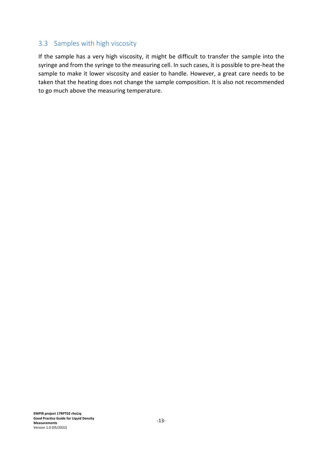#### <span id="page-13-0"></span>3.3 Samples with high viscosity

If the sample has a very high viscosity, it might be difficult to transfer the sample into the syringe and from the syringe to the measuring cell. In such cases, it is possible to pre-heat the sample to make it lower viscosity and easier to handle. However, a great care needs to be taken that the heating does not change the sample composition. It is also not recommended to go much above the measuring temperature.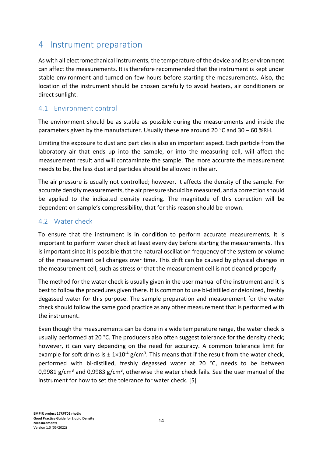# <span id="page-14-0"></span>4 Instrument preparation

As with all electromechanical instruments, the temperature of the device and its environment can affect the measurements. It is therefore recommended that the instrument is kept under stable environment and turned on few hours before starting the measurements. Also, the location of the instrument should be chosen carefully to avoid heaters, air conditioners or direct sunlight.

#### <span id="page-14-1"></span>4.1 Environment control

The environment should be as stable as possible during the measurements and inside the parameters given by the manufacturer. Usually these are around 20 °C and 30 – 60 %RH.

Limiting the exposure to dust and particles is also an important aspect. Each particle from the laboratory air that ends up into the sample, or into the measuring cell, will affect the measurement result and will contaminate the sample. The more accurate the measurement needs to be, the less dust and particles should be allowed in the air.

The air pressure is usually not controlled; however, it affects the density of the sample. For accurate density measurements, the air pressure should be measured, and a correction should be applied to the indicated density reading. The magnitude of this correction will be dependent on sample's compressibility, that for this reason should be known.

#### <span id="page-14-2"></span>4.2 Water check

To ensure that the instrument is in condition to perform accurate measurements, it is important to perform water check at least every day before starting the measurements. This is important since it is possible that the natural oscillation frequency of the system or volume of the measurement cell changes over time. This drift can be caused by physical changes in the measurement cell, such as stress or that the measurement cell is not cleaned properly.

The method for the water check is usually given in the user manual of the instrument and it is best to follow the procedures given there. It is common to use bi-distilled or deionized, freshly degassed water for this purpose. The sample preparation and measurement for the water check should follow the same good practice as any other measurement that is performed with the instrument.

Even though the measurements can be done in a wide temperature range, the water check is usually performed at 20 °C. The producers also often suggest tolerance for the density check; however, it can vary depending on the need for accuracy. A common tolerance limit for example for soft drinks is  $\pm 1 \times 10^{-4}$  g/cm<sup>3</sup>. This means that if the result from the water check, performed with bi-distilled, freshly degassed water at 20 °C, needs to be between 0,9981 g/cm<sup>3</sup> and 0,9983 g/cm<sup>3</sup>, otherwise the water check fails. See the user manual of the instrument for how to set the tolerance for water check. [5]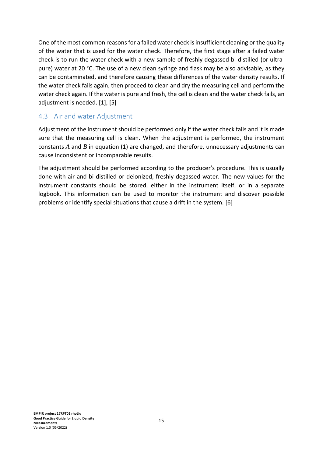One of the most common reasons for a failed water check is insufficient cleaning or the quality of the water that is used for the water check. Therefore, the first stage after a failed water check is to run the water check with a new sample of freshly degassed bi-distilled (or ultrapure) water at 20 °C. The use of a new clean syringe and flask may be also advisable, as they can be contaminated, and therefore causing these differences of the water density results. If the water check fails again, then proceed to clean and dry the measuring cell and perform the water check again. If the water is pure and fresh, the cell is clean and the water check fails, an adjustment is needed. [1], [5]

#### <span id="page-15-0"></span>4.3 Air and water Adjustment

Adjustment of the instrument should be performed only if the water check fails and it is made sure that the measuring cell is clean. When the adjustment is performed, the instrument constants *A* and *B* in equation (1) are changed, and therefore, unnecessary adjustments can cause inconsistent or incomparable results.

The adjustment should be performed according to the producer's procedure. This is usually done with air and bi-distilled or deionized, freshly degassed water. The new values for the instrument constants should be stored, either in the instrument itself, or in a separate logbook. This information can be used to monitor the instrument and discover possible problems or identify special situations that cause a drift in the system. [6]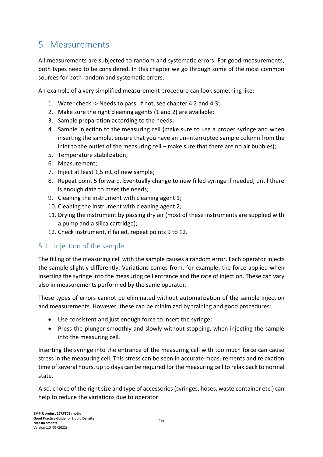# <span id="page-16-0"></span>5 Measurements

All measurements are subjected to random and systematic errors. For good measurements, both types need to be considered. In this chapter we go through some of the most common sources for both random and systematic errors.

An example of a very simplified measurement procedure can look something like:

- 1. Water check -> Needs to pass. If not, see chapter 4.2 and 4.3;
- 2. Make sure the right cleaning agents (1 and 2) are available;
- 3. Sample preparation according to the needs;
- 4. Sample injection to the measuring cell (make sure to use a proper syringe and when inserting the sample, ensure that you have an un-interrupted sample column from the inlet to the outlet of the measuring cell – make sure that there are no air bubbles);
- 5. Temperature stabilization;
- 6. Measurement;
- 7. Inject at least 1,5 mL of new sample;
- 8. Repeat point 5 forward. Eventually change to new filled syringe if needed, until there is enough data to meet the needs;
- 9. Cleaning the instrument with cleaning agent 1;
- 10. Cleaning the instrument with cleaning agent 2;
- 11. Drying the instrument by passing dry air (most of these instruments are supplied with a pump and a silica cartridge);
- 12. Check instrument, if failed, repeat points 9 to 12.

#### <span id="page-16-1"></span>5.1 Injection of the sample

The filling of the measuring cell with the sample causes a random error. Each operator injects the sample slightly differently. Variations comes from, for example: the force applied when inserting the syringe into the measuring cell entrance and the rate of injection. These can vary also in measurements performed by the same operator.

These types of errors cannot be eliminated without automatization of the sample injection and measurements. However, these can be minimized by training and good procedures:

- Use consistent and just enough force to insert the syringe;
- Press the plunger smoothly and slowly without stopping, when injecting the sample into the measuring cell.

Inserting the syringe into the entrance of the measuring cell with too much force can cause stress in the measuring cell. This stress can be seen in accurate measurements and relaxation time of several hours, up to days can be required for the measuring cell to relax back to normal state.

Also, choice of the right size and type of accessories (syringes, hoses, waste container etc.) can help to reduce the variations due to operator.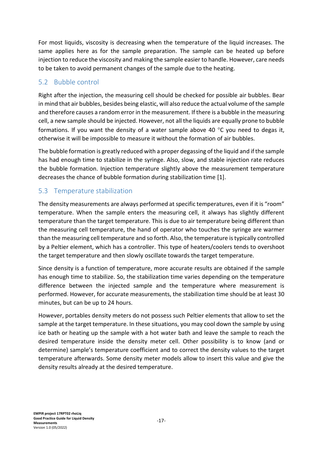For most liquids, viscosity is decreasing when the temperature of the liquid increases. The same applies here as for the sample preparation. The sample can be heated up before injection to reduce the viscosity and making the sample easier to handle. However, care needs to be taken to avoid permanent changes of the sample due to the heating.

#### <span id="page-17-0"></span>5.2 Bubble control

Right after the injection, the measuring cell should be checked for possible air bubbles. Bear in mind that air bubbles, besides being elastic, will also reduce the actual volume of the sample and therefore causes a random error in the measurement. If there is a bubble in the measuring cell, a new sample should be injected. However, not all the liquids are equally prone to bubble formations. If you want the density of a water sample above 40  $\degree$ C you need to degas it. otherwise it will be impossible to measure it without the formation of air bubbles.

The bubble formation is greatly reduced with a proper degassing of the liquid and if the sample has had enough time to stabilize in the syringe. Also, slow, and stable injection rate reduces the bubble formation. Injection temperature slightly above the measurement temperature decreases the chance of bubble formation during stabilization time [1].

#### <span id="page-17-1"></span>5.3 Temperature stabilization

The density measurements are always performed at specific temperatures, even if it is "room" temperature. When the sample enters the measuring cell, it always has slightly different temperature than the target temperature. This is due to air temperature being different than the measuring cell temperature, the hand of operator who touches the syringe are warmer than the measuring cell temperature and so forth. Also, the temperature is typically controlled by a Peltier element, which has a controller. This type of heaters/coolers tends to overshoot the target temperature and then slowly oscillate towards the target temperature.

Since density is a function of temperature, more accurate results are obtained if the sample has enough time to stabilize. So, the stabilization time varies depending on the temperature difference between the injected sample and the temperature where measurement is performed. However, for accurate measurements, the stabilization time should be at least 30 minutes, but can be up to 24 hours.

However, portables density meters do not possess such Peltier elements that allow to set the sample at the target temperature. In these situations, you may cool down the sample by using ice bath or heating up the sample with a hot water bath and leave the sample to reach the desired temperature inside the density meter cell. Other possibility is to know (and or determine) sample's temperature coefficient and to correct the density values to the target temperature afterwards. Some density meter models allow to insert this value and give the density results already at the desired temperature.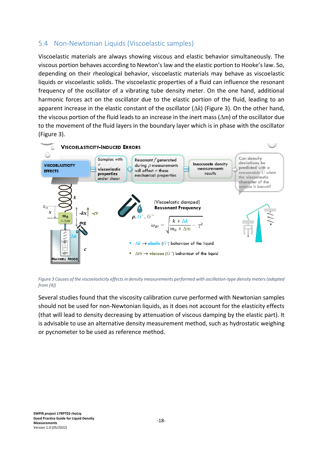#### <span id="page-18-0"></span>5.4 Non-Newtonian Liquids (Viscoelastic samples)

Viscoelastic materials are always showing viscous and elastic behavior simultaneously. The viscous portion behaves according to Newton's law and the elastic portion to Hooke's law. So, depending on their rheological behavior, viscoelastic materials may behave as viscoelastic liquids or viscoelastic solids. The viscoelastic properties of a fluid can influence the resonant frequency of the oscillator of a vibrating tube density meter. On the one hand, additional harmonic forces act on the oscillator due to the elastic portion of the fluid, leading to an apparent increase in the elastic constant of the oscillator  $(\Delta k)$  (Figure 3). On the other hand, the viscous portion of the fluid leads to an increase in the inert mass  $(\Delta m)$  of the oscillator due to the movement of the fluid layers in the boundary layer which is in phase with the oscillator (Figure 3).



*Figure 3 Causes of the viscoelasticity effects in density measurements performed with oscillation-type density meters (adapted from [4])*

Several studies found that the viscosity calibration curve performed with Newtonian samples should not be used for non-Newtonian liquids, as it does not account for the elasticity effects (that will lead to density decreasing by attenuation of viscous damping by the elastic part). It is advisable to use an alternative density measurement method, such as hydrostatic weighing or pycnometer to be used as reference method.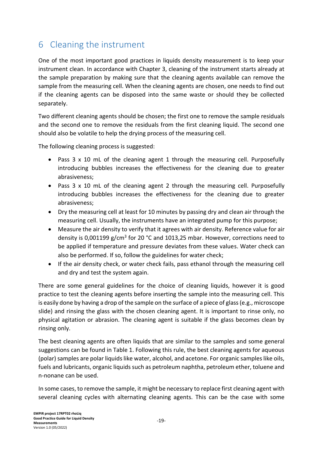# <span id="page-19-0"></span>6 Cleaning the instrument

One of the most important good practices in liquids density measurement is to keep your instrument clean. In accordance with Chapter 3, cleaning of the instrument starts already at the sample preparation by making sure that the cleaning agents available can remove the sample from the measuring cell. When the cleaning agents are chosen, one needs to find out if the cleaning agents can be disposed into the same waste or should they be collected separately.

Two different cleaning agents should be chosen; the first one to remove the sample residuals and the second one to remove the residuals from the first cleaning liquid. The second one should also be volatile to help the drying process of the measuring cell.

The following cleaning process is suggested:

- Pass 3 x 10 mL of the cleaning agent 1 through the measuring cell. Purposefully introducing bubbles increases the effectiveness for the cleaning due to greater abrasiveness;
- Pass 3 x 10 mL of the cleaning agent 2 through the measuring cell. Purposefully introducing bubbles increases the effectiveness for the cleaning due to greater abrasiveness;
- Dry the measuring cell at least for 10 minutes by passing dry and clean air through the measuring cell. Usually, the instruments have an integrated pump for this purpose;
- Measure the air density to verify that it agrees with air density. Reference value for air density is 0,001199 g/cm<sup>3</sup> for 20 °C and 1013,25 mbar. However, corrections need to be applied if temperature and pressure deviates from these values. Water check can also be performed. If so, follow the guidelines for water check;
- If the air density check, or water check fails, pass ethanol through the measuring cell and dry and test the system again.

There are some general guidelines for the choice of cleaning liquids, however it is good practice to test the cleaning agents before inserting the sample into the measuring cell. This is easily done by having a drop of the sample on the surface of a piece of glass (e.g., microscope slide) and rinsing the glass with the chosen cleaning agent. It is important to rinse only, no physical agitation or abrasion. The cleaning agent is suitable if the glass becomes clean by rinsing only.

The best cleaning agents are often liquids that are similar to the samples and some general suggestions can be found in Table 1. Following this rule, the best cleaning agents for aqueous (polar) samples are polar liquids like water, alcohol, and acetone. For organic samples like oils, fuels and lubricants, organic liquids such as petroleum naphtha, petroleum ether, toluene and n-nonane can be used.

In some cases, to remove the sample, it might be necessary to replace first cleaning agent with several cleaning cycles with alternating cleaning agents. This can be the case with some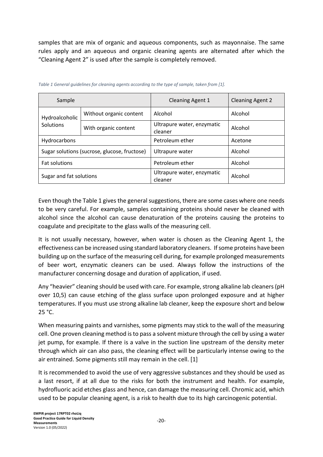samples that are mix of organic and aqueous components, such as mayonnaise. The same rules apply and an aqueous and organic cleaning agents are alternated after which the "Cleaning Agent 2" is used after the sample is completely removed.

| Sample                                       |                         | <b>Cleaning Agent 1</b>                          | <b>Cleaning Agent 2</b> |  |
|----------------------------------------------|-------------------------|--------------------------------------------------|-------------------------|--|
| Hydroalcoholic<br>Solutions                  | Without organic content | Alcohol                                          | Alcohol                 |  |
|                                              | With organic content    | Ultrapure water, enzymatic<br>Alcohol<br>cleaner |                         |  |
| Hydrocarbons                                 |                         | Petroleum ether                                  | Acetone                 |  |
| Sugar solutions (sucrose, glucose, fructose) |                         | Ultrapure water                                  | Alcohol                 |  |
| <b>Fat solutions</b>                         |                         | Petroleum ether                                  | Alcohol                 |  |
| Sugar and fat solutions                      |                         | Ultrapure water, enzymatic<br>cleaner            | Alcohol                 |  |

|  | Table 1 General guidelines for cleaning agents according to the type of sample, taken from [1]. |  |
|--|-------------------------------------------------------------------------------------------------|--|

Even though the Table 1 gives the general suggestions, there are some cases where one needs to be very careful. For example, samples containing proteins should never be cleaned with alcohol since the alcohol can cause denaturation of the proteins causing the proteins to coagulate and precipitate to the glass walls of the measuring cell.

It is not usually necessary, however, when water is chosen as the Cleaning Agent 1, the effectiveness can be increased using standard laboratory cleaners. If some proteins have been building up on the surface of the measuring cell during, for example prolonged measurements of beer wort, enzymatic cleaners can be used. Always follow the instructions of the manufacturer concerning dosage and duration of application, if used.

Any "heavier" cleaning should be used with care. For example, strong alkaline lab cleaners (pH over 10,5) can cause etching of the glass surface upon prolonged exposure and at higher temperatures. If you must use strong alkaline lab cleaner, keep the exposure short and below 25 °C.

When measuring paints and varnishes, some pigments may stick to the wall of the measuring cell. One proven cleaning method is to pass a solvent mixture through the cell by using a water jet pump, for example. If there is a valve in the suction line upstream of the density meter through which air can also pass, the cleaning effect will be particularly intense owing to the air entrained. Some pigments still may remain in the cell. [1]

It is recommended to avoid the use of very aggressive substances and they should be used as a last resort, if at all due to the risks for both the instrument and health. For example, hydrofluoric acid etches glass and hence, can damage the measuring cell. Chromic acid, which used to be popular cleaning agent, is a risk to health due to its high carcinogenic potential.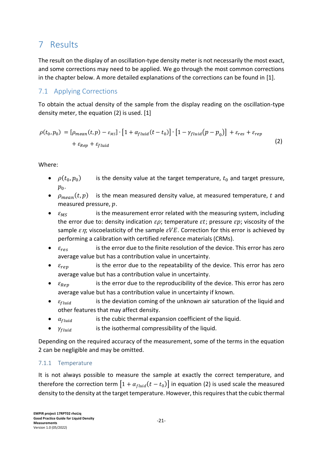# <span id="page-21-0"></span>7 Results

The result on the display of an oscillation-type density meter is not necessarily the most exact, and some corrections may need to be applied. We go through the most common corrections in the chapter below. A more detailed explanations of the corrections can be found in [1].

#### <span id="page-21-1"></span>7.1 Applying Corrections

To obtain the actual density of the sample from the display reading on the oscillation-type density meter, the equation (2) is used. [1]

$$
\rho(t_0, p_0) = [\rho_{mean}(t, p) - \varepsilon_{MS}] \cdot [1 + \alpha_{fluid}(t - t_0)] \cdot [1 - \gamma_{fluid}(p - p_0)] + \varepsilon_{res} + \varepsilon_{rep} + \varepsilon_{Rep} + \varepsilon_{fluid}
$$
\n(2)

Where:

- $\bullet$   $\rho(t_0, p_0)$ is the density value at the target temperature,  $t_0$  and target pressure,  $p_0$ .
- $\rho_{mean}(t, p)$  is the mean measured density value, at measured temperature, t and measured pressure,  $p$ .
- $\varepsilon_{MS}$  is the measurement error related with the measuring system, including the error due to: density indication  $\varepsilon \rho$ ; temperature  $\varepsilon t$ ; pressure  $\varepsilon p$ ; viscosity of the sample  $\varepsilon \eta$ ; viscoelasticity of the sample  $\varepsilon VE$ . Correction for this error is achieved by performing a calibration with certified reference materials (CRMs).
- $\varepsilon_{res}$  is the error due to the finite resolution of the device. This error has zero average value but has a contribution value in uncertainty.
- $\varepsilon_{ren}$  is the error due to the repeatability of the device. This error has zero average value but has a contribution value in uncertainty.
- $\varepsilon_{Ren}$  is the error due to the reproducibility of the device. This error has zero average value but has a contribution value in uncertainty if known.
- $\varepsilon_{fluid}$  is the deviation coming of the unknown air saturation of the liquid and other features that may affect density.
- $\alpha_{fluid}$  is the cubic thermal expansion coefficient of the liquid.
- $\gamma_{fluid}$  is the isothermal compressibility of the liquid.

Depending on the required accuracy of the measurement, some of the terms in the equation 2 can be negligible and may be omitted.

#### <span id="page-21-2"></span>7.1.1 Temperature

It is not always possible to measure the sample at exactly the correct temperature, and therefore the correction term  $\left[1+\alpha_{fluid}(t-t_0)\right]$  in equation (2) is used scale the measured density to the density at the target temperature. However, this requires that the cubic thermal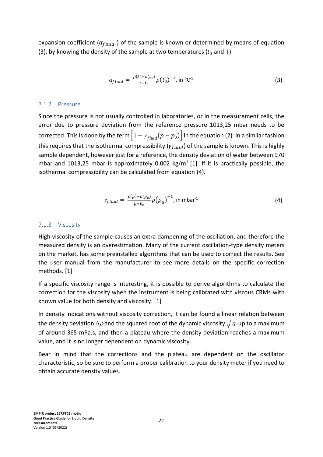expansion coefficient ( $\alpha_{fluid}$ ) of the sample is known or determined by means of equation (3), by knowing the density of the sample at two temperatures  $(t_0$  and  $t)$ .

$$
\alpha_{fluid} = \frac{\rho(t) - \rho(t_0)}{t - t_0} \rho(t_0)^{-1}, \text{ in } {}^{\circ}C^1
$$
 (3)

#### <span id="page-22-0"></span>7.1.2 Pressure

Since the pressure is not usually controlled in laboratories, or in the measurement cells, the error due to pressure deviation from the reference pressure 1013,25 mbar needs to be corrected. This is done by the term  $\left|1-\gamma_{fluid}(p-p_0)\right|$  in the equation (2). In a similar fashion this requires that the isothermal compressibility ( $\gamma_{fluid}$ ) of the sample is known. This is highly sample dependent, however just for a reference, the density deviation of water between 970 mbar and 1013,25 mbar is approximately 0,002  $kg/m<sup>3</sup>$  [1]. If it is practically possible, the isothermal compressibility can be calculated from equation (4).

$$
\gamma_{fluid} = \frac{\rho(p) - \rho(p_0)}{p - p_0} \rho(p_0)^{-1}, \text{ in mbar}^{-1}
$$
 (4)

#### <span id="page-22-1"></span>7.1.3 Viscosity

High viscosity of the sample causes an extra dampening of the oscillation, and therefore the measured density is an overestimation. Many of the current oscillation-type density meters on the market, has some preinstalled algorithms that can be used to correct the results. See the user manual from the manufacturer to see more details on the specific correction methods. [1]

If a specific viscosity range is interesting, it is possible to derive algorithms to calculate the correction for the viscosity when the instrument is being calibrated with viscous CRMs with known value for both density and viscosity. [1]

In density indications without viscosity correction, it can be found a linear relation between the density deviation  $\Delta \rho$  and the squared root of the dynamic viscosity  $\sqrt{\eta}$  up to a maximum of around 365 mPa.s, and then a plateau where the density deviation reaches a maximum value, and it is no longer dependent on dynamic viscosity.

Bear in mind that the corrections and the plateau are dependent on the oscillator characteristic, so be sure to perform a proper calibration to your density meter if you need to obtain accurate density values.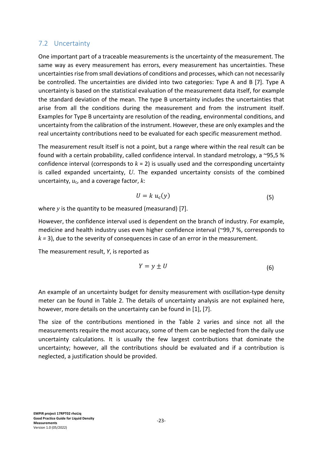#### <span id="page-23-0"></span>7.2 Uncertainty

One important part of a traceable measurements is the uncertainty of the measurement. The same way as every measurement has errors, every measurement has uncertainties. These uncertainties rise from small deviations of conditions and processes, which can not necessarily be controlled. The uncertainties are divided into two categories: Type A and B [7]. Type A uncertainty is based on the statistical evaluation of the measurement data itself, for example the standard deviation of the mean. The type B uncertainty includes the uncertainties that arise from all the conditions during the measurement and from the instrument itself. Examples for Type B uncertainty are resolution of the reading, environmental conditions, and uncertainty from the calibration of the instrument. However, these are only examples and the real uncertainty contributions need to be evaluated for each specific measurement method.

The measurement result itself is not a point, but a range where within the real result can be found with a certain probability, called confidence interval. In standard metrology, a ~95,5 % confidence interval (corresponds to *k* = 2) is usually used and the corresponding uncertainty is called expanded uncertainty, *U*. The expanded uncertainty consists of the combined uncertainty, *u*c, and a coverage factor, *k*:

$$
U = k u_{c}(y) \tag{5}
$$

where *y* is the quantity to be measured (measurand) [7].

However, the confidence interval used is dependent on the branch of industry. For example, medicine and health industry uses even higher confidence interval (~99,7 %, corresponds to *k =* 3), due to the severity of consequences in case of an error in the measurement.

The measurement result, *Y*, is reported as

$$
Y = y \pm U \tag{6}
$$

An example of an uncertainty budget for density measurement with oscillation-type density meter can be found in Table 2. The details of uncertainty analysis are not explained here, however, more details on the uncertainty can be found in [1], [7].

The size of the contributions mentioned in the Table 2 varies and since not all the measurements require the most accuracy, some of them can be neglected from the daily use uncertainty calculations. It is usually the few largest contributions that dominate the uncertainty; however, all the contributions should be evaluated and if a contribution is neglected, a justification should be provided.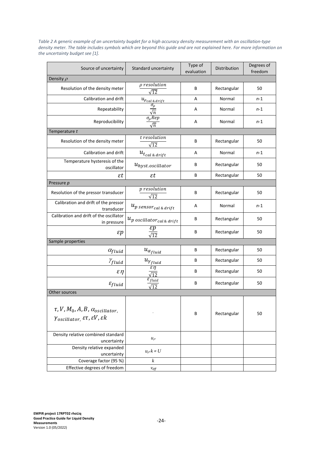| Source of uncertainty                                                                                                                  | Standard uncertainty                                           | Type of<br>evaluation | Distribution | Degrees of<br>freedom |
|----------------------------------------------------------------------------------------------------------------------------------------|----------------------------------------------------------------|-----------------------|--------------|-----------------------|
| Density $\rho$                                                                                                                         |                                                                |                       |              |                       |
| Resolution of the density meter                                                                                                        | $\rho$ resolution<br>$\sqrt{12}$                               | В                     | Rectangular  | 50                    |
| Calibration and drift                                                                                                                  |                                                                | A                     | Normal       | $n-1$                 |
| Repeatability                                                                                                                          | $\frac{u_{\rho_{cal\&drift}}}{\frac{\sigma_{\rho}}{\sqrt{n}}}$ | Α                     | Normal       | n-1                   |
| Reproducibility                                                                                                                        | $\sigma_\rho Rep$<br>$\sqrt{n}$                                | Α                     | Normal       | $n-1$                 |
| Temperature t                                                                                                                          |                                                                |                       |              |                       |
| Resolution of the density meter                                                                                                        | t resolution<br>$\sqrt{12}$                                    | В                     | Rectangular  | 50                    |
| Calibration and drift                                                                                                                  | $u_{t_{cal\ & drift}}$                                         | A                     | Normal       | $n-1$                 |
| Temperature hysteresis of the<br>oscillator                                                                                            | $u_{hyst. oscillator}$                                         | В                     | Rectangular  | 50                    |
| $\varepsilon t$                                                                                                                        | $\varepsilon t$                                                | В                     | Rectangular  | 50                    |
| Pressure p                                                                                                                             |                                                                |                       |              |                       |
| Resolution of the pressor transducer                                                                                                   | <i>p</i> resolution<br>$\sqrt{12}$                             | В                     | Rectangular  | 50                    |
| Calibration and drift of the pressor<br>transducer                                                                                     | $u_{p \, sensor_{cal} \, \& \, drift}$                         | Α                     | Normal       | n-1                   |
| Calibration and drift of the oscillator<br>in pressure                                                                                 | $u_{p}$ oscillator <sub>cal &amp;</sub> drift                  | В                     | Rectangular  | 50                    |
| $\varepsilon p$                                                                                                                        | $\varepsilon p$<br>$\sqrt{12}$                                 | В                     | Rectangular  | 50                    |
| Sample properties                                                                                                                      |                                                                |                       |              |                       |
| $\alpha_{fluid}$                                                                                                                       | $u_{\alpha_{fluid}}$                                           | В                     | Rectangular  | 50                    |
| $\gamma_{fluid}$                                                                                                                       | $u_{\gamma_{fluid}}$                                           | В                     | Rectangular  | 50                    |
| $\varepsilon \eta$                                                                                                                     | $\varepsilon \eta$<br>$\sqrt{12}$                              | В                     | Rectangular  | 50                    |
| $\varepsilon_{fluid}$                                                                                                                  | $\varepsilon_{fluid}$<br>$\sqrt{12}$                           | В                     | Rectangular  | 50                    |
| Other sources                                                                                                                          |                                                                |                       |              |                       |
| $\tau$ , V, M <sub>0</sub> , A, B, $\alpha_{oscillator}$<br>$\gamma$ oscillator, $\varepsilon\tau$ , $\varepsilon V$ , $\varepsilon k$ |                                                                | В                     | Rectangular  | 50                    |
| Density relative combined standard<br>uncertainty                                                                                      | $u_{\rho}$                                                     |                       |              |                       |
| Density relative expanded<br>uncertainty                                                                                               | $u_{\rho}k = U$                                                |                       |              |                       |
| Coverage factor (95 %)                                                                                                                 | $\boldsymbol{k}$                                               |                       |              |                       |
| Effective degrees of freedom                                                                                                           | Veff                                                           |                       |              |                       |

*Table 2 A generic example of an uncertainty bugdet for a high accuracy density measurement with an oscillation-type density meter. The table includes symbols which are beyond this guide and are not explained here. For more information on the uncertainty budget see [1].*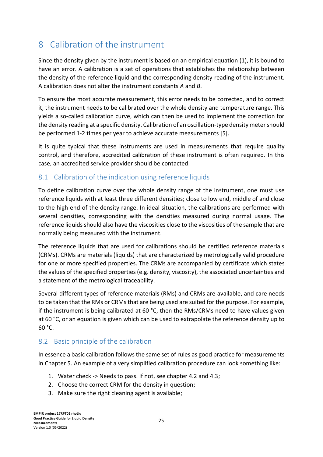# <span id="page-25-0"></span>8 Calibration of the instrument

Since the density given by the instrument is based on an empirical equation (1), it is bound to have an error. A calibration is a set of operations that establishes the relationship between the density of the reference liquid and the corresponding density reading of the instrument. A calibration does not alter the instrument constants *A* and *B*.

To ensure the most accurate measurement, this error needs to be corrected, and to correct it, the instrument needs to be calibrated over the whole density and temperature range. This yields a so-called calibration curve, which can then be used to implement the correction for the density reading at a specific density. Calibration of an oscillation-type density meter should be performed 1-2 times per year to achieve accurate measurements [5].

It is quite typical that these instruments are used in measurements that require quality control, and therefore, accredited calibration of these instrument is often required. In this case, an accredited service provider should be contacted.

#### <span id="page-25-1"></span>8.1 Calibration of the indication using reference liquids

To define calibration curve over the whole density range of the instrument, one must use reference liquids with at least three different densities; close to low end, middle of and close to the high end of the density range. In ideal situation, the calibrations are performed with several densities, corresponding with the densities measured during normal usage. The reference liquids should also have the viscosities close to the viscosities of the sample that are normally being measured with the instrument.

The reference liquids that are used for calibrations should be certified reference materials (CRMs). CRMs are materials (liquids) that are characterized by metrologically valid procedure for one or more specified properties. The CRMs are accompanied by certificate which states the values of the specified properties (e.g. density, viscosity), the associated uncertainties and a statement of the metrological traceability.

Several different types of reference materials (RMs) and CRMs are available, and care needs to be taken that the RMs or CRMs that are being used are suited for the purpose. For example, if the instrument is being calibrated at 60 °C, then the RMs/CRMs need to have values given at 60 °C, or an equation is given which can be used to extrapolate the reference density up to 60 °C.

#### <span id="page-25-2"></span>8.2 Basic principle of the calibration

In essence a basic calibration follows the same set of rules as good practice for measurements in Chapter 5. An example of a very simplified calibration procedure can look something like:

- 1. Water check -> Needs to pass. If not, see chapter 4.2 and 4.3;
- 2. Choose the correct CRM for the density in question;
- 3. Make sure the right cleaning agent is available;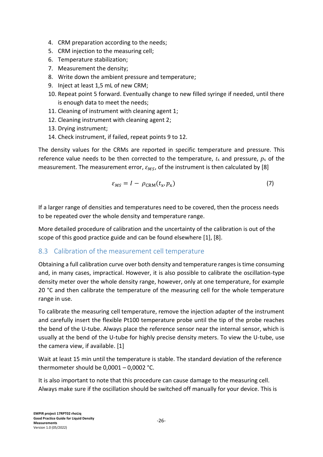- 4. CRM preparation according to the needs;
- 5. CRM injection to the measuring cell;
- 6. Temperature stabilization;
- 7. Measurement the density;
- 8. Write down the ambient pressure and temperature;
- 9. Inject at least 1,5 mL of new CRM;
- 10. Repeat point 5 forward. Eventually change to new filled syringe if needed, until there is enough data to meet the needs;
- 11. Cleaning of instrument with cleaning agent 1;
- 12. Cleaning instrument with cleaning agent 2;
- 13. Drying instrument;
- 14. Check instrument, if failed, repeat points 9 to 12.

The density values for the CRMs are reported in specific temperature and pressure. This reference value needs to be then corrected to the temperature,  $t<sub>x</sub>$  and pressure,  $p<sub>x</sub>$  of the measurement. The measurement error,  $\varepsilon_{MS}$ , of the instrument is then calculated by [8]

$$
\varepsilon_{MS} = I - \rho_{\text{CRM}}(t_x, p_x) \tag{7}
$$

If a larger range of densities and temperatures need to be covered, then the process needs to be repeated over the whole density and temperature range.

More detailed procedure of calibration and the uncertainty of the calibration is out of the scope of this good practice guide and can be found elsewhere [1], [8].

#### <span id="page-26-0"></span>8.3 Calibration of the measurement cell temperature

Obtaining a full calibration curve over both density and temperature ranges is time consuming and, in many cases, impractical. However, it is also possible to calibrate the oscillation-type density meter over the whole density range, however, only at one temperature, for example 20 °C and then calibrate the temperature of the measuring cell for the whole temperature range in use.

To calibrate the measuring cell temperature, remove the injection adapter of the instrument and carefully insert the flexible Pt100 temperature probe until the tip of the probe reaches the bend of the U-tube. Always place the reference sensor near the internal sensor, which is usually at the bend of the U-tube for highly precise density meters. To view the U-tube, use the camera view, if available. [1]

Wait at least 15 min until the temperature is stable. The standard deviation of the reference thermometer should be 0,0001 – 0,0002 °C.

It is also important to note that this procedure can cause damage to the measuring cell. Always make sure if the oscillation should be switched off manually for your device. This is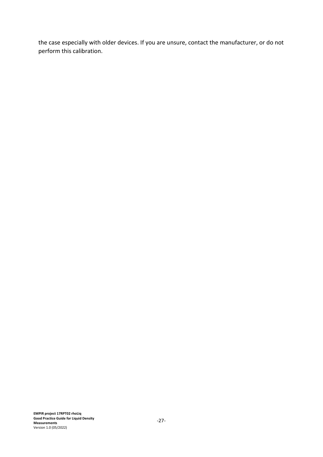the case especially with older devices. If you are unsure, contact the manufacturer, or do not perform this calibration.